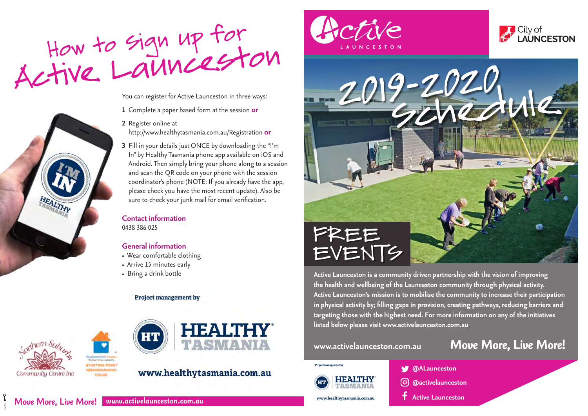

You can register for Active Launceston in three ways:

- **1** Complete a paper based form at the session **or**
- **2** Register online at http://www.healthytasmania.com.au/Registration **or**
- **3** Fill in your details just ONCE by downloading the "I'm In" by Healthy Tasmania phone app available on iOS and Android. Then simply bring your phone along to a session and scan the QR code on your phone with the session coordinator's phone (NOTE: If you already have the app, please check you have the most recent update). Also be sure to check your junk mail for email verification.

## **Contact information**  0438 386 025

# **General information**

- Wear comfortable clothing
- Arrive 15 minutes early
- Bring a drink bottle

### **Project management by**



22923



# www.healthytasmania.com.au







**Active Launceston is a community driven partnership with the vision of improving the health and wellbeing of the Launceston community through physical activity. Active Launceston's mission is to mobilise the community to increase their participation in physical activity by; filling gaps in provision, creating pathways, reducing barriers and targeting those with the highest need. For more information on any of the initiatives listed below please visit www.activelaunceston.com.au** 

# **www.activelaunceston.com.au** *Move More, Live More!*



www.healthytasmania.com.au

**@ALaunceston**

- **@activelaunceston**
- **Active Launceston**

*Move More, Live More! www.activelaunceston.com.au*